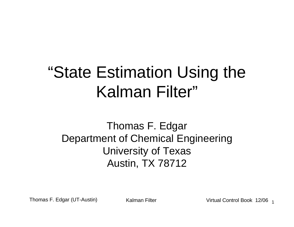# "State Estimation Using the Kalman Filter"

Thomas F. EdgarDepartment of Chemical EngineeringUniversity of TexasAustin, TX 78712

Thomas F. Edgar (UT-Austin)

) Kalman Filter Virtual Control Book 12/06 <sub>1</sub>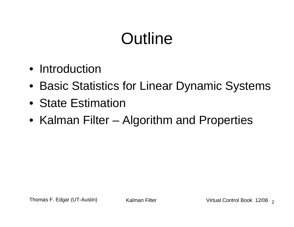# **Outline**

- Introduction
- Basic Statistics for Linear Dynamic Systems
- State Estimation
- Kalman Filter Algorithm and Properties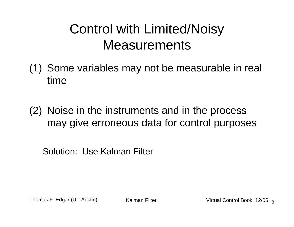# Control with Limited/Noisy **Measurements**

- (1) Some variables may not be measurable in real time
- (2) Noise in the instruments and in the process may give erroneous data for control purposes

Solution: Use Kalman Filter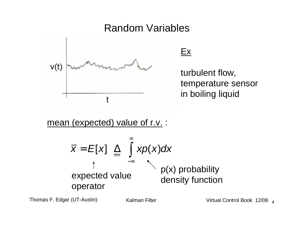

 $Ex$ 

turbulent flow,temperature sensorin boiling liquid

<u>mean (expected) value of r.v.</u> :

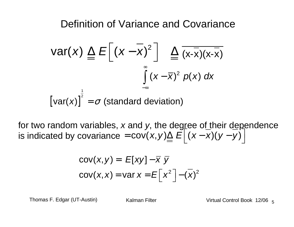Definition of Variance and Covariance

$$
Var(x) \triangleq E\left[\left(x - \overline{x}\right)^{2}\right] \triangleq \frac{\sqrt{1 - \overline{x}}(x - \overline{x})(x - \overline{x})}{\int_{-\infty}^{\infty} (x - \overline{x})^{2} p(x) dx}
$$
  
[var(x)] <sup>$\frac{1}{2}$</sup>  =  $\sigma$  (standard deviation)

for two random variables, x and y, the degree of their dependence is indicated by covariance  $=$   $\mathsf{cov}(x, y) \underline{\Delta} \mathrel{E} |(x - x)(y - y)$  $\text{cov}(x, y) \underline{\triangle} \ \overline{E}\left[ (x - \overline{x})(y - \overline{y}) \right]$ 

$$
cov(x, y) = E[xy] - \overline{x} \overline{y}
$$
  
cov(x, x) = var x = E[x<sup>2</sup>] - (\overline{x})<sup>2</sup>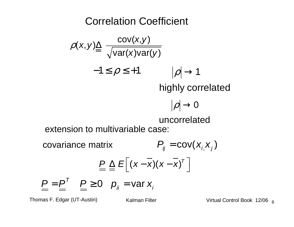Correlation Coefficient

$$
\rho(x, y) \underline{\triangle} \frac{\text{cov}(x, y)}{\sqrt{\text{var}(x) \text{var}(y)}}
$$
  
-1 \le \rho \le +1 |\rho| \to 1

highly correlated

$$
\left\vert \rho\right\vert \rightarrow0
$$

uncorrelated

extension to multivariable case:

covariance matrix $\frac{P}{E} \triangleq E \left| (x - x) (x - x)^T \right|$  $\left[ (x-\overline{x})(x-\overline{x})^{\top} \right]$  $P_{ij} = \text{cov}( X_{i,} X_{j} )$  $\underline{P} = \underline{P}^T \quad \underline{P} \ge 0 \quad p_{ij} = \text{var } x_{ij}$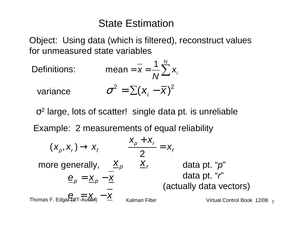#### State Estimation

Object: Using data (which is filtered), reconstruct valuesfor unmeasured state variables

Definitions:

\n
$$
\text{mean} = \overline{x} = \frac{1}{N} \sum_{i=1}^{N} x_i
$$
\n
$$
\sigma^2 = \sum (x_i - \overline{x})^2
$$

σ<sup>2</sup> large, lots of scatter! single data pt. is unreliable

Example: 2 measurements of equal reliability

$$
(x_p, x_r) \rightarrow x_f
$$
\n
$$
\frac{x_p + x_r}{2} = x_f
$$
\n
$$
\frac{2}{\left(\frac{p}{2}\right)^2} = x_f
$$
\n
$$
\frac{2}{\left(\frac{p}{2}\right)^2} = x_f
$$
\n
$$
\frac{2}{\left(\frac{p}{2}\right)^2} = x_f
$$
\n
$$
\frac{2}{\left(\frac{p}{2}\right)^2} = x_f
$$
\n
$$
\frac{2}{\left(\frac{p}{2}\right)^2} = x_f
$$
\n
$$
\frac{2}{\left(\frac{p}{2}\right)^2} = x_f
$$
\n
$$
\frac{2}{\left(\frac{p}{2}\right)^2} = x_f
$$
\n
$$
\frac{2}{\left(\frac{p}{2}\right)^2} = x_f
$$
\n
$$
\frac{2}{\left(\frac{p}{2}\right)^2} = x_f
$$
\n
$$
\frac{2}{\left(\frac{p}{2}\right)^2} = x_f
$$
\n
$$
\frac{2}{\left(\frac{p}{2}\right)^2} = x_f
$$
\n
$$
\frac{2}{\left(\frac{p}{2}\right)^2} = x_f
$$
\n
$$
\frac{2}{\left(\frac{p}{2}\right)^2} = x_f
$$
\n
$$
\frac{2}{\left(\frac{p}{2}\right)^2} = x_f
$$
\n
$$
\frac{2}{\left(\frac{p}{2}\right)^2} = x_f
$$
\n
$$
\frac{2}{\left(\frac{p}{2}\right)^2} = x_f
$$
\n
$$
\frac{2}{\left(\frac{p}{2}\right)^2} = x_f
$$
\n
$$
\frac{2}{\left(\frac{p}{2}\right)^2} = x_f
$$
\n
$$
\frac{2}{\left(\frac{p}{2}\right)^2} = x_f
$$
\n
$$
\frac{2}{\left(\frac{p}{2}\right)^2} = x_f
$$
\n
$$
\frac{2}{\left(\frac{p}{2}\right)^2} = x_f
$$
\n
$$
\frac{2}{\left(\frac{p}{2}\right)^2} = x_f
$$
\n
$$
\frac{2}{\left(\frac{p}{2}\right)^2} = x_f
$$
\n
$$
\frac{2}{\left(\frac{p}{2}\right)^2} = x_f
$$
\n $$ 

7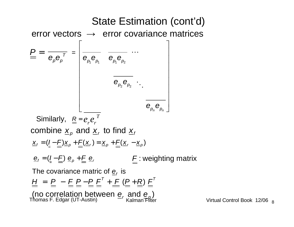#### Thomas F. Edgar (UT-Austin) <sup>—</sup>′ Kalman Filter Virtual Control Book 12/06 error vectors  $\;\rightarrow\;$  error covariance matrices  $\begin{matrix} \boldsymbol{e}_{_{\rho_{\!\scriptscriptstyle 1}}} \boldsymbol{e}_{_{\rho_{\!\scriptscriptstyle 1}}} & \boldsymbol{e}_{_{\rho_{\!\scriptscriptstyle 1}}} \boldsymbol{e}_{_{\rho_{\!\scriptscriptstyle 2}}} \end{matrix}$  $\bm{e}_{_{\bm{p_2}}}\bm{e}_{_{\bm{p_2}}}$  $\bm{\mathsf{e}}_{_{\bm{\rho}_{{}_{\bm{n}}}}} \bm{\mathsf{e}}_{_{\bm{\rho}_{{}_{\bm{n}}}}}$  $\overline{e_{p}e_{p}^{\tau}} = \begin{bmatrix} \overline{e_{p_{1}}e_{p_{1}}} & \overline{e_{p_{1}}e_{p_{2}}} & \cdots \\ & \overline{e_{p_{2}}e_{p_{2}}} & \ddots \\ & & \overline{e_{p_{n}}e_{p_{n}}} \end{bmatrix}$ Similarly,  $\underline{R}$  = combine  $\underline{\boldsymbol{x}}_p$  and  $\underline{\boldsymbol{x}}_r$  to find  $\underline{\boldsymbol{x}}_f$  ${\bf x}_f = ({\bf I} - {\bf E}){\bf x}_p + {\bf E}({\bf x}_r) = {\bf x}_p + {\bf E}({\bf x}_r - {\bf x}_p)$  ${\bf \underline{e}}_f=({\bf \underline{l}}-{\bf \underline{F}})\;{\bf \underline{e}}_p+{\bf \underline{F}}\;{\bf \underline{e}}_r \qquad\qquad\qquad {\bf \underline{F}}:$  weighting matrix The covariance matric of  $\underline{\mathbf{e}}_f$  is  $\underline{H}$  =  $\underline{P}$  -  $\underline{F}$   $\underline{P}$  -  $\underline{P}$   $\underline{F}^T$  +  $\underline{F}$  ( $\underline{P}$  +  $\underline{R}$ )  $\underline{F}^T$ (no correlation between  $\underline{\mathbf{e}}_r$  and  $\underline{\mathbf{e}}_p$ )<br>homas F. Edgar (UT-Austin)  $\frac{P}{P} = \frac{1}{P} \frac{1}{P}$ *T* $e_{r}e_{r}$ State Estimation (cont'd)

Virtual Control Book 12/06 <sub>8</sub>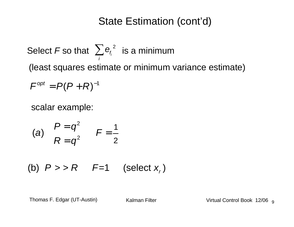Select  $\digamma$  so that  $\ \sum\limits_{i}{{\mathsf{e}_{\!f_i}}^2}\>$  is a minimum (least squares estimate or minimum variance estimate) $\mathcal{F}^{opt} = P ( P + R )^{-1}$  $\sum_i \mathcal{F}_i$ ∑e

scalar example:

$$
\begin{array}{lll}\n\text{(a)} & P = q^2 & F = \frac{1}{2} \\
R = q^2 & \end{array}
$$

(b)  $P >> R$   $F=1$  (select  $x<sub>r</sub>$ )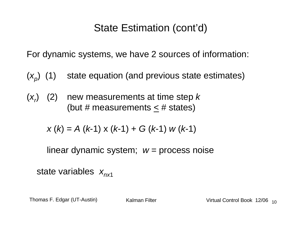For dynamic systems, we have 2 sources of information:

- $(x_p)$  (1) state equation (and previous state estimates)
- $(x<sub>r</sub>)$  (2) new measurements at time step k (but # measurements  $\leq$  # states)

$$
x(k) = A (k-1) x (k-1) + G (k-1) w (k-1)
$$

linear dynamic system;  $w =$  process noise

state variables  $x_{n \times 1}$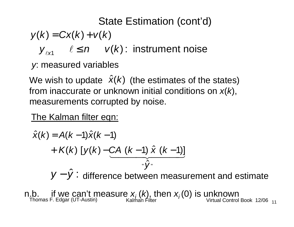$$
y(k) = Cx(k) + v(k)
$$

1 ${\mathcal Y}_{\ell \mathsf{x} \mathsf{1}} \hspace{0.5cm} \ell \leq n \hspace{0.5cm} \textcolor{black} \mathsf{v}(\mathsf{k})$  : instrument noise

y: measured variables

We wish to update  $\hat{\mathsf{x}}(k)$  (the estimates of the states) from inaccurate or unknown initial conditions on  $x(k)$ , measurements corrupted by noise.

The Kalman filter eqn:

$$
\hat{x}(k) = A(k-1)\hat{x}(k-1) \n+ K(k) [y(k) - CA (k-1) \hat{x} (k-1)] \ny^2
$$

 $y - \hat{y}$ : difference between measurement and estimate

Thomas F. Edgar (UT-Austin) Kalman Filter ' \ / Virtual Control Book 12/06 **n.b. if we can't measure**  $x_i$  $(k)$ **, then**  $x_i$  $(0)$  **is unknown<br>Thomas F. Edgar (UT-Austin) Kalman Filter Virtual Control Book 12/06 <sub>11</sub>**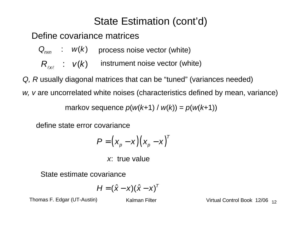Define covariance matrices

 $\bm{\mathsf{Q}}_{_{\!n\!\times\!n\!}} \quad : \quad \mathsf{w}(k) \quad \text{ process noise vector (white)}$ 

 $R_{_{\ell \times \ell}}$  :  $\mathsf{v}(k)$  $\ell \times \ell$   $\blacksquare$ instrument noise vector (white)

Q, R usually diagonal matrices that can be "tuned" (variances needed)

 $w$ ,  $v$  are uncorrelated white noises (characteristics defined by mean, variance)  $\,$ 

markov sequence  $p(w(k+1) / w(k)) = p(w(k+1))$ 

define state error covariance

$$
P = (x_{p} - x)(x_{p} - x)^{T}
$$

x: true value

State estimate covariance

$$
H=(\hat{x}-x)(\hat{x}-x)^T
$$

Thomas F. Edgar (UT-Austin)

) Kalman Filter Virtual Control Book 12/06 <sub>12</sub>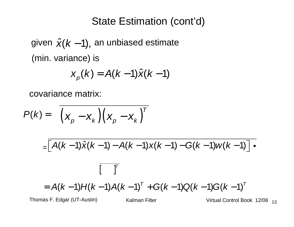given  $\hat{\pmb{\mathsf{x}}} (k$  – 1), an unbiased estimate (min. variance) is

$$
X_p(k) = A(k-1)\hat{x}(k-1)
$$

covariance matrix:

$$
P(k) = \left(x_p - x_k\right)\left(x_p - x_k\right)^T
$$

$$
= [A(k-1)\hat{x}(k-1) - A(k-1)x(k-1) - G(k-1)w(k-1)] \cdot
$$
  

$$
= A(k-1)H(k-1)A(k-1)^{T} + G(k-1)Q(k-1)G(k-1)^{T}
$$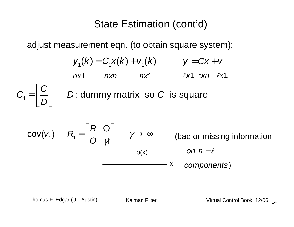adjust measurement eqn. (to obtain square system):

$$
y_{1}(k) = C_{1}x(k) + v_{1}(k) \qquad y = Cx + v
$$
  
\n
$$
nx1 \qquad nxn \qquad nx1 \qquad \ell x1 \qquad \ell xn \qquad \ell x1
$$
  
\n
$$
C_{1} = \left[\frac{C}{D}\right] \qquad D: \text{dummy matrix so } C_{1} \text{ is square}
$$
  
\n
$$
cov(v_{1}) \qquad R_{1} = \left[\frac{R}{O} \frac{O}{\gamma I}\right] \qquad \gamma \to \infty \qquad \text{(bad or missing information on } n - \ell \text{ components)}
$$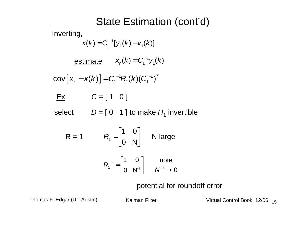Inverting,

 $x(k) = C_1^{-1}[y_1(k) - v_1(k)]$ 

<u>estimate</u>  $X_r(k) = C_1^{-1} y_1(k)$ 

**[**  $\text{cov}\big[\,X_{_r}-X(k)\,\big] = C_{1}^{-1}R_{1}(k)(C_{1}^{-1})^{T}$ 

 $\overline{Ex}$   $C = [1 \ 0]$ 

select  $D = [ 0 \ 1 ]$  to make  $H_1$  invertible

$$
R = 1 \qquad R_1 = \begin{bmatrix} 1 & 0 \\ 0 & N \end{bmatrix} \qquad N \text{ large}
$$

$$
R_1^{-1} = \begin{bmatrix} 1 & 0 \\ 0 & N^1 \end{bmatrix} \qquad \text{note}
$$

potential for roundoff error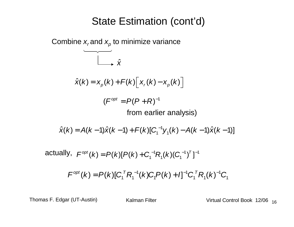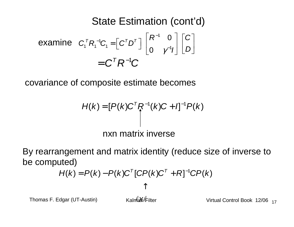$$
\begin{array}{ll}\text{examine} & C_1^T R_1^{-1} C_1 = \left[ C^T D^T \right] \begin{bmatrix} R^{-1} & 0 \\ 0 & \gamma^{-1} I \end{bmatrix} \begin{bmatrix} C \\ D \end{bmatrix} \\ & = C^T R^{-1} C \end{array}
$$

covariance of composite estimate becomes

$$
H(k) = [P(k)CT R-1(k)C + I]-1 P(k)
$$
  
nxn matrix inverse

By rearrangement and matrix identity (reduce size of inverse tobe computed)

$$
H(k) = P(k) - P(k)C^{T}[CP(k)C^{T} + R]^{-1}CP(k)
$$
  
\n
$$
\uparrow
$$
  
\n
$$
H(k) = P(k) - P(k)C^{T}[CP(k)C^{T} + R]^{-1}CP(k)
$$
  
\n
$$
\uparrow
$$
  
\n
$$
\downarrow
$$
  
\n
$$
Virtu
$$

Thomas F. Edgar (UT-Austin)

x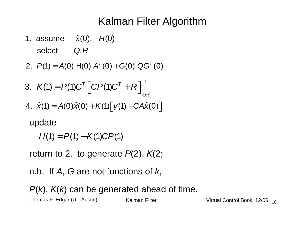# Kalman Filter Algorithm

1. assume  $\hat{\mathsf{x}}(0)$ ,  $\mathsf{H}(0)$ select  $Q, R$ 

2. 
$$
P(1) = A(0) H(0) AT(0) + G(0) QGT(0)
$$

3. 
$$
K(1) = P(1)C^{T} [CP(1)C^{T} + R]_{\ell x\ell}^{-1}
$$
  
4.  $\hat{x}(1) = A(0)\hat{x}(0) + K(1)[y(1) - CA\hat{x}(0)]$ 

update

 $H(1) = P(1) - K(1) C P(1)$ 

return to 2. to generate  $P(2)$ ,  $K(2)$ 

n.b. If  $A$ ,  $G$  are not functions of  $k$ ,

Thomas F. Edgar (UT-Austin)) Kalman Filter Virtual Control Book 12/06 <sub>18</sub>  $P(k)$ ,  $K(k)$  can be generated ahead of time.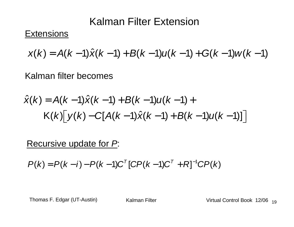#### Kalman Filter Extension

#### **Extensions**

$$
x(k) = A(k-1)\hat{x}(k-1) + B(k-1)u(k-1) + G(k-1)w(k-1)
$$

Kalman filter becomes

$$
\hat{x}(k) = A(k-1)\hat{x}(k-1) + B(k-1)u(k-1) +
$$
  
 
$$
K(k)[y(k) - C[A(k-1)\hat{x}(k-1) + B(k-1)u(k-1)]]
$$

Recursive update for P:

 $P(k) = P(k - i) - P(k - 1)C^{T} [CP(k - 1)C^{T} + R]^{-1}CP(k)$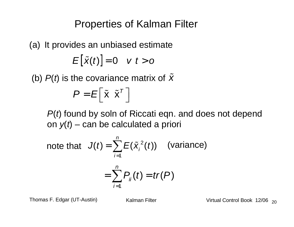Properties of Kalman Filter

(a) It provides an unbiased estimate $E[\tilde{x}(t)] = 0 \quad v \, t > 0$ 

(b)  $P(t)$  is the covariance matrix of  $\tilde{\bm{\mathsf{X}}}$ 

$$
P = E\left[\begin{bmatrix} \tilde{\mathbf{x}} & \tilde{\mathbf{x}}^T \end{bmatrix}\right]
$$

 $P(t)$  found by soln of Riccati eqn. and does not depend on  $y(t)$  – can be calculated a priori

note that 
$$
J(t) = \sum_{i=1}^{n} E(\tilde{x}_{i}^{2}(t))
$$
 (variance)  

$$
= \sum_{i=1}^{n} P_{ij}(t) = tr(P)
$$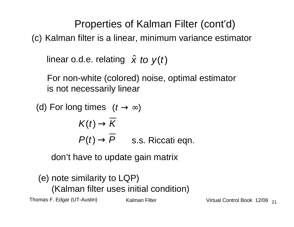Properties of Kalman Filter (cont'd)

(c) Kalman filter is a linear, minimum variance estimator

linear o.d.e. relating  $\hat{\boldsymbol{\mathsf{x}}}$  to  $\boldsymbol{\mathsf{y}}(t)$ 

For non-white (colored) noise, optimal estimatoris not necessarily linear

(d) For long times  $\;(t\to\infty )$ 

$$
K(t) \to \overline{K}
$$
  
 
$$
P(t) \to \overline{P}
$$
 s.s. Riccati eqn.

don't have to update gain matrix

(e) note similarity to LQP)(Kalman filter uses initial condition)